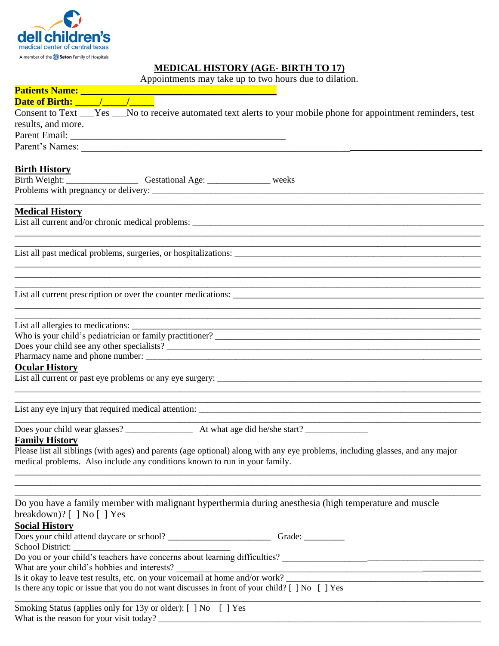

## **MEDICAL HISTORY (AGE- BIRTH TO 17)**

Appointments may take up to two hours due to dilation.

| Appointments may take up to two nours due to unation.                                                                                                                                                                                  |
|----------------------------------------------------------------------------------------------------------------------------------------------------------------------------------------------------------------------------------------|
|                                                                                                                                                                                                                                        |
| Consent to Text ___Yes ___No to receive automated text alerts to your mobile phone for appointment reminders, test                                                                                                                     |
| results, and more.                                                                                                                                                                                                                     |
|                                                                                                                                                                                                                                        |
|                                                                                                                                                                                                                                        |
| <b>Birth History</b>                                                                                                                                                                                                                   |
| Birth Weight: ___________________________Gestational Age: _____________________weeks                                                                                                                                                   |
|                                                                                                                                                                                                                                        |
| <b>Medical History</b>                                                                                                                                                                                                                 |
|                                                                                                                                                                                                                                        |
| List all past medical problems, surgeries, or hospitalizations:                                                                                                                                                                        |
| ,一个人的人都是一个人的人,我们就是一个人的人,我们就是一个人的人,我们就是一个人的人,我们就是一个人的人,我们就是一个人的人,我们就是一个人的人,我们就是一个<br>第一百一十一章 一个人的人,我们就是一个人的人,我们就是一个人的人,我们就是一个人的人,我们就是一个人的人,我们就是一个人的人,我们就是一个人的人,我们就是一个<br>List all current prescription or over the counter medications: |
|                                                                                                                                                                                                                                        |
|                                                                                                                                                                                                                                        |
|                                                                                                                                                                                                                                        |
| Does your child see any other specialists?                                                                                                                                                                                             |
|                                                                                                                                                                                                                                        |
| <b>Ocular History</b>                                                                                                                                                                                                                  |
|                                                                                                                                                                                                                                        |
|                                                                                                                                                                                                                                        |
|                                                                                                                                                                                                                                        |
| <b>Family History</b>                                                                                                                                                                                                                  |
| Please list all siblings (with ages) and parents (age optional) along with any eye problems, including glasses, and any major<br>medical problems. Also include any conditions known to run in your family.                            |
| Do you have a family member with malignant hyperthermia during anesthesia (high temperature and muscle                                                                                                                                 |
| breakdown)? $[ \ ]$ No $[ \ ]$ Yes<br><b>Social History</b>                                                                                                                                                                            |
| School District:                                                                                                                                                                                                                       |
| What are your child's hobbies and interests?                                                                                                                                                                                           |
| What are your child's hobbies and interests?<br>Is it okay to leave test results, etc. on your voicemail at home and/or work?<br>Is there any topic or issue that you do not want discusses in front of your child? [ ] No [ ] Yes     |
| Smoking Status (applies only for 13y or older): [ ] No [ ] Yes                                                                                                                                                                         |

What is the reason for your visit today? \_\_\_\_\_\_\_\_\_\_\_\_\_\_\_\_\_\_\_\_\_\_\_\_\_\_\_\_\_\_\_\_\_\_\_\_\_\_\_\_\_\_\_\_\_\_\_\_\_\_\_\_\_\_\_\_\_\_\_\_\_\_\_\_\_\_\_\_\_\_\_\_